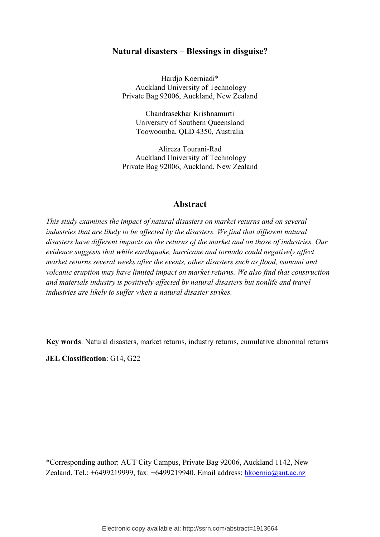### **Natural disasters – Blessings in disguise?**

Hardjo Koerniadi\* Auckland University of Technology Private Bag 92006, Auckland, New Zealand

Chandrasekhar Krishnamurti University of Southern Queensland Toowoomba, QLD 4350, Australia

Alireza Tourani-Rad Auckland University of Technology Private Bag 92006, Auckland, New Zealand

### **Abstract**

*This study examines the impact of natural disasters on market returns and on several industries that are likely to be affected by the disasters. We find that different natural disasters have different impacts on the returns of the market and on those of industries. Our evidence suggests that while earthquake, hurricane and tornado could negatively affect market returns several weeks after the events, other disasters such as flood, tsunami and volcanic eruption may have limited impact on market returns. We also find that construction and materials industry is positively affected by natural disasters but nonlife and travel industries are likely to suffer when a natural disaster strikes.* 

**Key words**: Natural disasters, market returns, industry returns, cumulative abnormal returns

**JEL Classification**: G14, G22

\*Corresponding author: AUT City Campus, Private Bag 92006, Auckland 1142, New Zealand. Tel.: +6499219999, fax: +6499219940. Email address: hkoernia@aut.ac.nz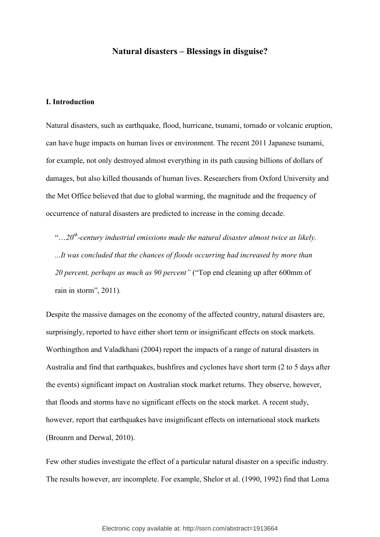### **Natural disasters – Blessings in disguise?**

### **I. Introduction**

Natural disasters, such as earthquake, flood, hurricane, tsunami, tornado or volcanic eruption, can have huge impacts on human lives or environment. The recent 2011 Japanese tsunami, for example, not only destroyed almost everything in its path causing billions of dollars of damages, but also killed thousands of human lives. Researchers from Oxford University and the Met Office believed that due to global warming, the magnitude and the frequency of occurrence of natural disasters are predicted to increase in the coming decade.

"…*20th-century industrial emissions made the natural disaster almost twice as likely. ...It was concluded that the chances of floods occurring had increased by more than 20 percent, perhaps as much as 90 percent"* ("Top end cleaning up after 600mm of rain in storm", 2011)*.*

Despite the massive damages on the economy of the affected country, natural disasters are, surprisingly, reported to have either short term or insignificant effects on stock markets. Worthingthon and Valadkhani (2004) report the impacts of a range of natural disasters in Australia and find that earthquakes, bushfires and cyclones have short term (2 to 5 days after the events) significant impact on Australian stock market returns. They observe, however, that floods and storms have no significant effects on the stock market. A recent study, however, report that earthquakes have insignificant effects on international stock markets (Brounrn and Derwal, 2010).

Few other studies investigate the effect of a particular natural disaster on a specific industry. The results however, are incomplete. For example, Shelor et al. (1990, 1992) find that Loma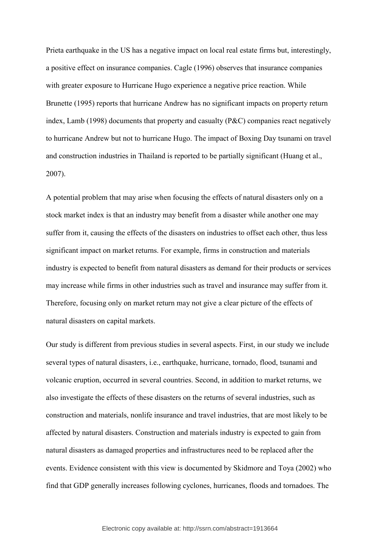Prieta earthquake in the US has a negative impact on local real estate firms but, interestingly, a positive effect on insurance companies. Cagle (1996) observes that insurance companies with greater exposure to Hurricane Hugo experience a negative price reaction. While Brunette (1995) reports that hurricane Andrew has no significant impacts on property return index, Lamb (1998) documents that property and casualty (P&C) companies react negatively to hurricane Andrew but not to hurricane Hugo. The impact of Boxing Day tsunami on travel and construction industries in Thailand is reported to be partially significant (Huang et al., 2007).

A potential problem that may arise when focusing the effects of natural disasters only on a stock market index is that an industry may benefit from a disaster while another one may suffer from it, causing the effects of the disasters on industries to offset each other, thus less significant impact on market returns. For example, firms in construction and materials industry is expected to benefit from natural disasters as demand for their products or services may increase while firms in other industries such as travel and insurance may suffer from it. Therefore, focusing only on market return may not give a clear picture of the effects of natural disasters on capital markets.

Our study is different from previous studies in several aspects. First, in our study we include several types of natural disasters, i.e., earthquake, hurricane, tornado, flood, tsunami and volcanic eruption, occurred in several countries. Second, in addition to market returns, we also investigate the effects of these disasters on the returns of several industries, such as construction and materials, nonlife insurance and travel industries, that are most likely to be affected by natural disasters. Construction and materials industry is expected to gain from natural disasters as damaged properties and infrastructures need to be replaced after the events. Evidence consistent with this view is documented by Skidmore and Toya (2002) who find that GDP generally increases following cyclones, hurricanes, floods and tornadoes. The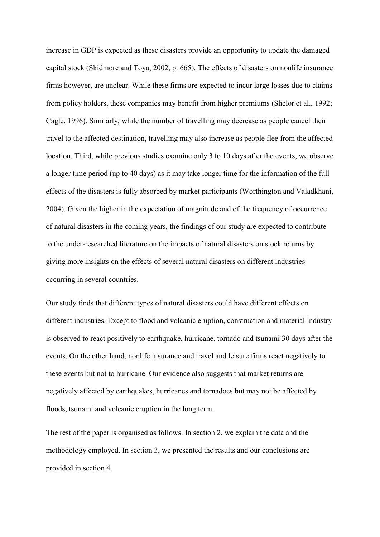increase in GDP is expected as these disasters provide an opportunity to update the damaged capital stock (Skidmore and Toya, 2002, p. 665). The effects of disasters on nonlife insurance firms however, are unclear. While these firms are expected to incur large losses due to claims from policy holders, these companies may benefit from higher premiums (Shelor et al., 1992; Cagle, 1996). Similarly, while the number of travelling may decrease as people cancel their travel to the affected destination, travelling may also increase as people flee from the affected location. Third, while previous studies examine only 3 to 10 days after the events, we observe a longer time period (up to 40 days) as it may take longer time for the information of the full effects of the disasters is fully absorbed by market participants (Worthington and Valadkhani, 2004). Given the higher in the expectation of magnitude and of the frequency of occurrence of natural disasters in the coming years, the findings of our study are expected to contribute to the under-researched literature on the impacts of natural disasters on stock returns by giving more insights on the effects of several natural disasters on different industries occurring in several countries.

Our study finds that different types of natural disasters could have different effects on different industries. Except to flood and volcanic eruption, construction and material industry is observed to react positively to earthquake, hurricane, tornado and tsunami 30 days after the events. On the other hand, nonlife insurance and travel and leisure firms react negatively to these events but not to hurricane. Our evidence also suggests that market returns are negatively affected by earthquakes, hurricanes and tornadoes but may not be affected by floods, tsunami and volcanic eruption in the long term.

The rest of the paper is organised as follows. In section 2, we explain the data and the methodology employed. In section 3, we presented the results and our conclusions are provided in section 4.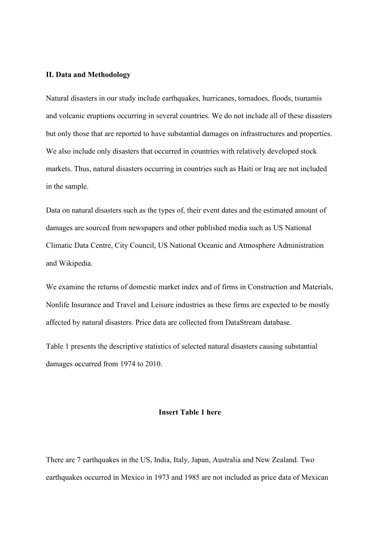### **II. Data and Methodology**

Natural disasters in our study include earthquakes, hurricanes, tornadoes, floods, tsunamis and volcanic eruptions occurring in several countries. We do not include all of these disasters but only those that are reported to have substantial damages on infrastructures and properties. We also include only disasters that occurred in countries with relatively developed stock markets. Thus, natural disasters occurring in countries such as Haiti or Iraq are not included in the sample.

Data on natural disasters such as the types of, their event dates and the estimated amount of damages are sourced from newspapers and other published media such as US National Climatic Data Centre, City Council, US National Oceanic and Atmosphere Administration and Wikipedia.

We examine the returns of domestic market index and of firms in Construction and Materials, Nonlife Insurance and Travel and Leisure industries as these firms are expected to be mostly affected by natural disasters. Price data are collected from DataStream database.

Table 1 presents the descriptive statistics of selected natural disasters causing substantial damages occurred from 1974 to 2010.

### **Insert Table 1 here**

There are 7 earthquakes in the US, India, Italy, Japan, Australia and New Zealand. Two earthquakes occurred in Mexico in 1973 and 1985 are not included as price data of Mexican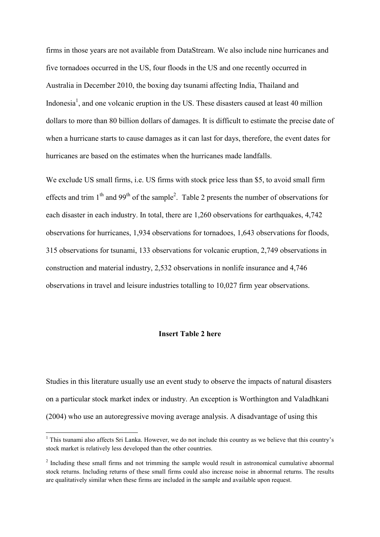firms in those years are not available from DataStream. We also include nine hurricanes and five tornadoes occurred in the US, four floods in the US and one recently occurred in Australia in December 2010, the boxing day tsunami affecting India, Thailand and Indonesia<sup>1</sup>, and one volcanic eruption in the US. These disasters caused at least 40 million dollars to more than 80 billion dollars of damages. It is difficult to estimate the precise date of when a hurricane starts to cause damages as it can last for days, therefore, the event dates for hurricanes are based on the estimates when the hurricanes made landfalls.

We exclude US small firms, i.e. US firms with stock price less than \$5, to avoid small firm effects and trim  $1<sup>th</sup>$  and  $99<sup>th</sup>$  of the sample<sup>2</sup>. Table 2 presents the number of observations for each disaster in each industry. In total, there are 1,260 observations for earthquakes, 4,742 observations for hurricanes, 1,934 observations for tornadoes, 1,643 observations for floods, 315 observations for tsunami, 133 observations for volcanic eruption, 2,749 observations in construction and material industry, 2,532 observations in nonlife insurance and 4,746 observations in travel and leisure industries totalling to 10,027 firm year observations.

### **Insert Table 2 here**

Studies in this literature usually use an event study to observe the impacts of natural disasters on a particular stock market index or industry. An exception is Worthington and Valadhkani (2004) who use an autoregressive moving average analysis. A disadvantage of using this

 $\overline{a}$ 

<sup>&</sup>lt;sup>1</sup> This tsunami also affects Sri Lanka. However, we do not include this country as we believe that this country's stock market is relatively less developed than the other countries.

<sup>&</sup>lt;sup>2</sup> Including these small firms and not trimming the sample would result in astronomical cumulative abnormal stock returns. Including returns of these small firms could also increase noise in abnormal returns. The results are qualitatively similar when these firms are included in the sample and available upon request.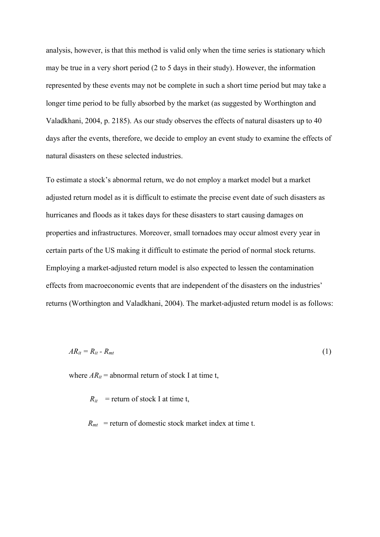analysis, however, is that this method is valid only when the time series is stationary which may be true in a very short period (2 to 5 days in their study). However, the information represented by these events may not be complete in such a short time period but may take a longer time period to be fully absorbed by the market (as suggested by Worthington and Valadkhani, 2004, p. 2185). As our study observes the effects of natural disasters up to 40 days after the events, therefore, we decide to employ an event study to examine the effects of natural disasters on these selected industries.

To estimate a stock's abnormal return, we do not employ a market model but a market adjusted return model as it is difficult to estimate the precise event date of such disasters as hurricanes and floods as it takes days for these disasters to start causing damages on properties and infrastructures. Moreover, small tornadoes may occur almost every year in certain parts of the US making it difficult to estimate the period of normal stock returns. Employing a market-adjusted return model is also expected to lessen the contamination effects from macroeconomic events that are independent of the disasters on the industries' returns (Worthington and Valadkhani, 2004). The market-adjusted return model is as follows:

$$
AR_{it} = R_{it} - R_{mt} \tag{1}
$$

where  $AR_{it}$  = abnormal return of stock I at time t,

 $R_{it}$  = return of stock I at time t,

 $R<sub>mt</sub>$  = return of domestic stock market index at time t.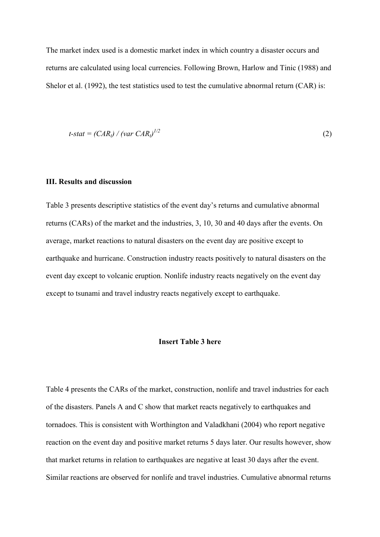The market index used is a domestic market index in which country a disaster occurs and returns are calculated using local currencies. Following Brown, Harlow and Tinic (1988) and Shelor et al. (1992), the test statistics used to test the cumulative abnormal return (CAR) is:

$$
t\text{-}stat = (CAR_{i}) / (var \text{ }CAR_{i})^{1/2}
$$
\n<sup>(2)</sup>

### **III. Results and discussion**

Table 3 presents descriptive statistics of the event day's returns and cumulative abnormal returns (CARs) of the market and the industries, 3, 10, 30 and 40 days after the events. On average, market reactions to natural disasters on the event day are positive except to earthquake and hurricane. Construction industry reacts positively to natural disasters on the event day except to volcanic eruption. Nonlife industry reacts negatively on the event day except to tsunami and travel industry reacts negatively except to earthquake.

### **Insert Table 3 here**

Table 4 presents the CARs of the market, construction, nonlife and travel industries for each of the disasters. Panels A and C show that market reacts negatively to earthquakes and tornadoes. This is consistent with Worthington and Valadkhani (2004) who report negative reaction on the event day and positive market returns 5 days later. Our results however, show that market returns in relation to earthquakes are negative at least 30 days after the event. Similar reactions are observed for nonlife and travel industries. Cumulative abnormal returns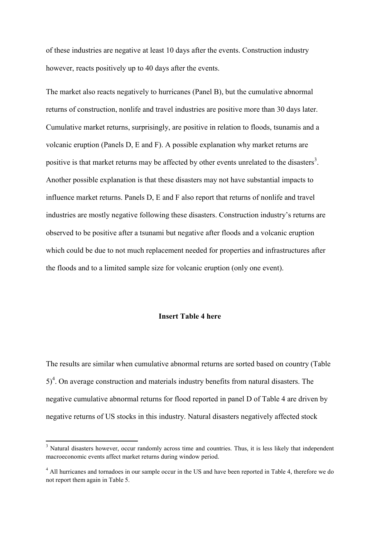of these industries are negative at least 10 days after the events. Construction industry however, reacts positively up to 40 days after the events.

The market also reacts negatively to hurricanes (Panel B), but the cumulative abnormal returns of construction, nonlife and travel industries are positive more than 30 days later. Cumulative market returns, surprisingly, are positive in relation to floods, tsunamis and a volcanic eruption (Panels D, E and F). A possible explanation why market returns are positive is that market returns may be affected by other events unrelated to the disasters<sup>3</sup>. Another possible explanation is that these disasters may not have substantial impacts to influence market returns. Panels D, E and F also report that returns of nonlife and travel industries are mostly negative following these disasters. Construction industry's returns are observed to be positive after a tsunami but negative after floods and a volcanic eruption which could be due to not much replacement needed for properties and infrastructures after the floods and to a limited sample size for volcanic eruption (only one event).

### **Insert Table 4 here**

The results are similar when cumulative abnormal returns are sorted based on country (Table  $5)^4$ . On average construction and materials industry benefits from natural disasters. The negative cumulative abnormal returns for flood reported in panel D of Table 4 are driven by negative returns of US stocks in this industry. Natural disasters negatively affected stock

 $\overline{a}$ 

<sup>&</sup>lt;sup>3</sup> Natural disasters however, occur randomly across time and countries. Thus, it is less likely that independent macroeconomic events affect market returns during window period.

<sup>&</sup>lt;sup>4</sup> All hurricanes and tornadoes in our sample occur in the US and have been reported in Table 4, therefore we do not report them again in Table 5.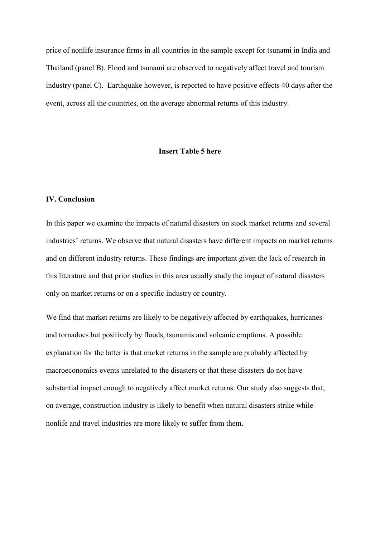price of nonlife insurance firms in all countries in the sample except for tsunami in India and Thailand (panel B). Flood and tsunami are observed to negatively affect travel and tourism industry (panel C). Earthquake however, is reported to have positive effects 40 days after the event, across all the countries, on the average abnormal returns of this industry.

### **Insert Table 5 here**

### **IV. Conclusion**

In this paper we examine the impacts of natural disasters on stock market returns and several industries' returns. We observe that natural disasters have different impacts on market returns and on different industry returns. These findings are important given the lack of research in this literature and that prior studies in this area usually study the impact of natural disasters only on market returns or on a specific industry or country.

We find that market returns are likely to be negatively affected by earthquakes, hurricanes and tornadoes but positively by floods, tsunamis and volcanic eruptions. A possible explanation for the latter is that market returns in the sample are probably affected by macroeconomics events unrelated to the disasters or that these disasters do not have substantial impact enough to negatively affect market returns. Our study also suggests that, on average, construction industry is likely to benefit when natural disasters strike while nonlife and travel industries are more likely to suffer from them.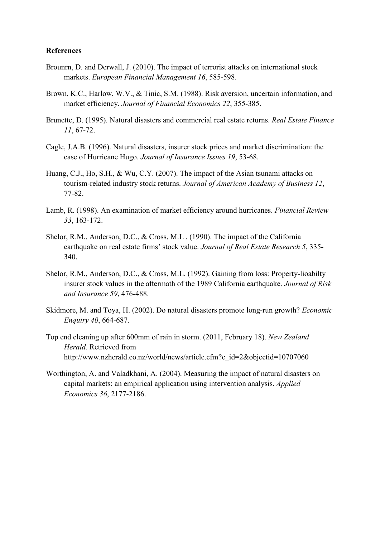### **References**

- Brounrn, D. and Derwall, J. (2010). The impact of terrorist attacks on international stock markets. *European Financial Management 16*, 585-598.
- Brown, K.C., Harlow, W.V., & Tinic, S.M. (1988). Risk aversion, uncertain information, and market efficiency. *Journal of Financial Economics 22*, 355-385.
- Brunette, D. (1995). Natural disasters and commercial real estate returns. *Real Estate Finance 11*, 67-72.
- Cagle, J.A.B. (1996). Natural disasters, insurer stock prices and market discrimination: the case of Hurricane Hugo. *Journal of Insurance Issues 19*, 53-68.
- Huang, C.J., Ho, S.H., & Wu, C.Y. (2007). The impact of the Asian tsunami attacks on tourism-related industry stock returns. *Journal of American Academy of Business 12*, 77-82.
- Lamb, R. (1998). An examination of market efficiency around hurricanes. *Financial Review 33*, 163-172.
- Shelor, R.M., Anderson, D.C., & Cross, M.L . (1990). The impact of the California earthquake on real estate firms' stock value. *Journal of Real Estate Research 5*, 335- 340.
- Shelor, R.M., Anderson, D.C., & Cross, M.L. (1992). Gaining from loss: Property-lioabilty insurer stock values in the aftermath of the 1989 California earthquake. *Journal of Risk and Insurance 59*, 476-488.
- Skidmore, M. and Toya, H. (2002). Do natural disasters promote long-run growth? *Economic Enquiry 40*, 664-687.
- Top end cleaning up after 600mm of rain in storm. (2011, February 18). *New Zealand Herald.* Retrieved from http://www.nzherald.co.nz/world/news/article.cfm?c\_id=2&objectid=10707060
- Worthington, A. and Valadkhani, A. (2004). Measuring the impact of natural disasters on capital markets: an empirical application using intervention analysis. *Applied Economics 36*, 2177-2186.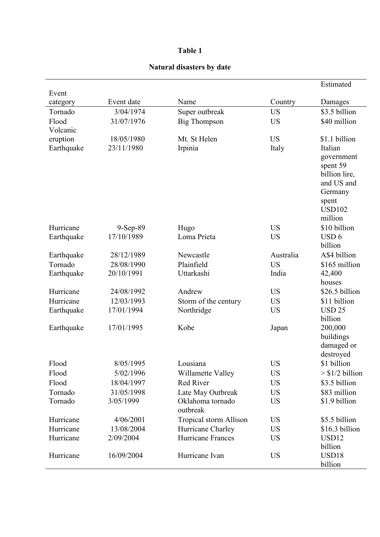# **Table 1**

| Event      |            |                                |           | Estimated                |
|------------|------------|--------------------------------|-----------|--------------------------|
| category   | Event date | Name                           | Country   | Damages                  |
| Tornado    | 3/04/1974  | Super outbreak                 | <b>US</b> | \$3.5 billion            |
| Flood      | 31/07/1976 | <b>Big Thompson</b>            | <b>US</b> | \$40 million             |
| Volcanic   |            |                                |           |                          |
| eruption   | 18/05/1980 | Mt. St Helen                   | <b>US</b> | \$1.1 billion            |
| Earthquake | 23/11/1980 | Irpinia                        | Italy     | Italian                  |
|            |            |                                |           | government               |
|            |            |                                |           | spent 59                 |
|            |            |                                |           | billion lire,            |
|            |            |                                |           | and US and               |
|            |            |                                |           | Germany                  |
|            |            |                                |           | spent<br><b>USD102</b>   |
|            |            |                                |           | million                  |
| Hurricane  | 9-Sep-89   | Hugo                           | <b>US</b> | \$10 billion             |
| Earthquake | 17/10/1989 | Loma Prieta                    | <b>US</b> | USD <sub>6</sub>         |
|            |            |                                |           | billion                  |
| Earthquake | 28/12/1989 | Newcastle                      | Australia | A\$4 billion             |
| Tornado    | 28/08/1990 | Plainfield                     | <b>US</b> | \$165 million            |
| Earthquake | 20/10/1991 | Uttarkashi                     | India     | 42,400                   |
|            |            |                                |           | houses                   |
| Hurricane  | 24/08/1992 | Andrew                         | <b>US</b> | \$26.5 billion           |
| Hurricane  | 12/03/1993 | Storm of the century           | <b>US</b> | \$11 billion             |
| Earthquake | 17/01/1994 | Northridge                     | <b>US</b> | <b>USD 25</b>            |
|            |            |                                |           | billion                  |
| Earthquake | 17/01/1995 | Kobe                           | Japan     | 200,000                  |
|            |            |                                |           | buildings                |
|            |            |                                |           | damaged or               |
| Flood      | 8/05/1995  | Lousiana                       | <b>US</b> | destroyed<br>\$1 billion |
| Flood      | 5/02/1996  |                                | <b>US</b> | $>$ \$1/2 billion        |
| Flood      | 18/04/1997 | Willamette Valley<br>Red River | <b>US</b> | \$3.5 billion            |
| Tornado    | 31/05/1998 | Late May Outbreak              | <b>US</b> | \$83 million             |
| Tornado    | 3/05/1999  | Oklahoma tornado               | <b>US</b> | \$1.9 billion            |
|            |            | outbreak                       |           |                          |
| Hurricane  | 4/06/2001  | Tropical storm Allison         | <b>US</b> | \$5.5 billion            |
| Hurricane  | 13/08/2004 | Hurricane Charley              | <b>US</b> | \$16.3 billion           |
| Hurricane  | 2/09/2004  | Hurricane Frances              | <b>US</b> | USD <sub>12</sub>        |
|            |            |                                |           | billion                  |
| Hurricane  | 16/09/2004 | Hurricane Ivan                 | <b>US</b> | USD18                    |
|            |            |                                |           | billion                  |

## **Natural disasters by date**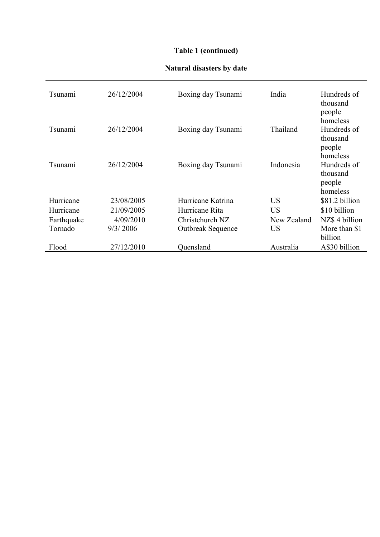# **Table 1 (continued)**

# **Natural disasters by date**

| Tsunami    | 26/12/2004 | Boxing day Tsunami       | India       | Hundreds of<br>thousand<br>people                         |
|------------|------------|--------------------------|-------------|-----------------------------------------------------------|
| Tsunami    | 26/12/2004 | Boxing day Tsunami       | Thailand    | homeless<br>Hundreds of<br>thousand<br>people<br>homeless |
| Tsunami    | 26/12/2004 | Boxing day Tsunami       | Indonesia   | Hundreds of<br>thousand<br>people<br>homeless             |
| Hurricane  | 23/08/2005 | Hurricane Katrina        | <b>US</b>   | \$81.2 billion                                            |
| Hurricane  | 21/09/2005 | Hurricane Rita           | <b>US</b>   | \$10 billion                                              |
| Earthquake | 4/09/2010  | Christchurch NZ          | New Zealand | NZ\$ 4 billion                                            |
| Tornado    | 9/3/2006   | <b>Outbreak Sequence</b> | <b>US</b>   | More than \$1<br>billion                                  |
| Flood      | 27/12/2010 | Quensland                | Australia   | A\$30 billion                                             |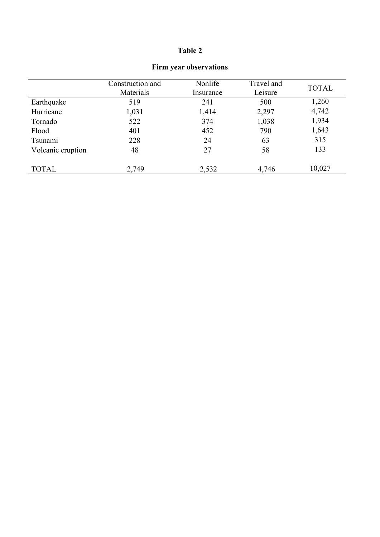# **Table 2**

|                   | Construction and<br>Materials | Nonlife<br>Insurance | Travel and<br>Leisure | <b>TOTAL</b> |
|-------------------|-------------------------------|----------------------|-----------------------|--------------|
| Earthquake        | 519                           | 241                  | 500                   | 1,260        |
| Hurricane         | 1,031                         | 1,414                | 2,297                 | 4,742        |
| Tornado           | 522                           | 374                  | 1,038                 | 1,934        |
| Flood             | 401                           | 452                  | 790                   | 1,643        |
| Tsunami           | 228                           | 24                   | 63                    | 315          |
| Volcanic eruption | 48                            | 27                   | 58                    | 133          |
| <b>TOTAL</b>      | 2,749                         | 2,532                | 4,746                 | 10,027       |

## **Firm year observations**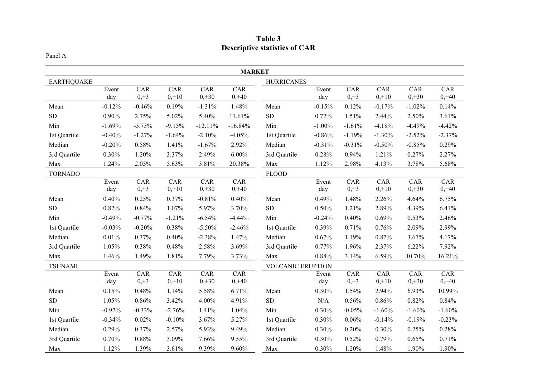| Table 3                              |
|--------------------------------------|
| <b>Descriptive statistics of CAR</b> |

### Panel A

|                   | <b>MARKET</b> |               |                |                              |                 |                          |              |               |                       |                |                 |
|-------------------|---------------|---------------|----------------|------------------------------|-----------------|--------------------------|--------------|---------------|-----------------------|----------------|-----------------|
| <b>EARTHQUAKE</b> |               |               |                |                              |                 | <b>HURRICANES</b>        |              |               |                       |                |                 |
|                   | Event<br>day  | CAR<br>$0,+3$ | CAR<br>$0,+10$ | $\overline{C}AR$<br>$0, +30$ | CAR<br>$0, +40$ |                          | Event<br>day | CAR<br>$0,+3$ | CAR<br>$0,+10$        | CAR<br>$0,+30$ | CAR<br>$0, +40$ |
| Mean              | $-0.12%$      | $-0.46%$      | 0.19%          | $-1.31%$                     | 1.48%           | Mean                     | $-0.15%$     | 0.12%         | $-0.17%$              | $-1.02%$       | 0.14%           |
| ${\rm SD}$        | 0.90%         | 2.75%         | 5.02%          | 5.40%                        | 11.61%          | ${\rm SD}$               | 0.72%        | 1.51%         | 2.44%                 | 2.50%          | 3.61%           |
| Min               | $-1.69%$      | $-5.73%$      | $-9.15%$       | $-12.11%$                    | $-16.84%$       | Min                      | $-1.00\%$    | $-1.61%$      | $-4.18%$              | $-4.49%$       | $-4.42%$        |
| 1st Quartile      | $-0.40%$      | $-1.27%$      | $-1.64%$       | $-2.10%$                     | $-4.05%$        | 1st Quartile             | $-0.86%$     | $-1.19%$      | $-1.30%$              | $-2.52%$       | $-2.37%$        |
| Median            | $-0.20%$      | 0.58%         | 1.41%          | $-1.67%$                     | 2.92%           | Median                   | $-0.31%$     | $-0.31%$      | $-0.50%$              | $-0.85%$       | 0.29%           |
| 3rd Quartile      | 0.30%         | 1.20%         | 3.37%          | 2.49%                        | 6.00%           | 3rd Quartile             | 0.28%        | 0.94%         | 1.21%                 | 0.27%          | 2.27%           |
| Max               | 1.24%         | 2.05%         | 5.63%          | 3.81%                        | 20.38%          | Max                      | 1.12%        | 2.98%         | 4.13%                 | 3.78%          | 5.68%           |
| <b>TORNADO</b>    |               |               |                |                              |                 | <b>FLOOD</b>             |              |               |                       |                |                 |
|                   | Event<br>day  | CAR<br>$0,+3$ | CAR<br>$0,+10$ | CAR<br>$0,+30$               | CAR<br>$0, +40$ |                          | Event<br>day | CAR<br>$0,+3$ | CAR<br>$0,+10$        | CAR<br>$0,+30$ | CAR<br>$0, +40$ |
| Mean              | 0.40%         | 0.25%         | 0.37%          | $-0.81%$                     | 0.40%           | Mean                     | 0.49%        | 1.48%         | 2.26%                 | 4.64%          | 6.75%           |
| ${\rm SD}$        | 0.82%         | 0.84%         | 1.07%          | 5.97%                        | 3.70%           | ${\rm SD}$               | 0.50%        | 1.21%         | 2.89%                 | 4.39%          | 6.41%           |
| Min               | $-0.49%$      | $-0.77%$      | $-1.21%$       | $-6.54%$                     | $-4.44%$        | Min                      | $-0.24%$     | 0.40%         | 0.69%                 | 0.53%          | 2.46%           |
| 1st Quartile      | $-0.03%$      | $-0.20%$      | 0.38%          | $-5.50\%$                    | $-2.46%$        | 1st Quartile             | 0.39%        | 0.71%         | 0.76%                 | 2.09%          | 2.99%           |
| Median            | 0.01%         | 0.37%         | 0.40%          | $-2.38%$                     | 1.47%           | Median                   | 0.67%        | 1.19%         | 0.87%                 | 3.67%          | 4.17%           |
| 3rd Quartile      | 1.05%         | 0.38%         | 0.48%          | 2.58%                        | 3.69%           | 3rd Quartile             | 0.77%        | 1.96%         | 2.37%                 | 6.22%          | 7.92%           |
| Max               | 1.46%         | 1.49%         | 1.81%          | 7.79%                        | 3.73%           | Max                      | 0.88%        | 3.14%         | 6.59%                 | 10.70%         | 16.21%          |
| <b>TSUNAMI</b>    |               |               |                |                              |                 | <b>VOLCANIC ERUPTION</b> |              |               |                       |                |                 |
|                   | Event<br>day  | CAR<br>$0,+3$ | CAR<br>$0,+10$ | CAR<br>$0,+30$               | CAR<br>$0, +40$ |                          | Event<br>day | CAR<br>$0,+3$ | <b>CAR</b><br>$0,+10$ | CAR<br>$0,+30$ | CAR<br>$0, +40$ |
| Mean              | 0.15%         | 0.48%         | 1.14%          | 5.58%                        | 6.71%           | Mean                     | 0.30%        | 1.54%         | 2.94%                 | 6.93%          | 10.99%          |
| ${\rm SD}$        | 1.05%         | 0.86%         | 3.42%          | 4.00%                        | 4.91%           | ${\rm SD}$               | $\rm N/A$    | 0.56%         | 0.86%                 | 0.82%          | 0.84%           |
| Min               | $-0.97%$      | $-0.33%$      | $-2.76%$       | 1.41%                        | 1.04%           | Min                      | 0.30%        | $-0.05%$      | $-1.60%$              | $-1.60%$       | $-1.60%$        |
| 1st Quartile      | $-0.34%$      | 0.02%         | $-0.10%$       | 3.67%                        | 5.27%           | 1st Quartile             | 0.30%        | 0.06%         | $-0.14%$              | $-0.19%$       | $-0.23%$        |
| Median            | 0.29%         | 0.37%         | 2.57%          | 5.93%                        | 9.49%           | Median                   | 0.30%        | 0.20%         | 0.30%                 | 0.25%          | 0.28%           |
| 3rd Quartile      | 0.70%         | 0.88%         | 3.09%          | 7.66%                        | 9.55%           | 3rd Quartile             | 0.30%        | 0.52%         | 0.79%                 | 0.65%          | 0.71%           |
| Max               | 1.12%         | 1.39%         | 3.61%          | 9.39%                        | 9.60%           | Max                      | 0.30%        | 1.20%         | 1.48%                 | 1.90%          | 1.90%           |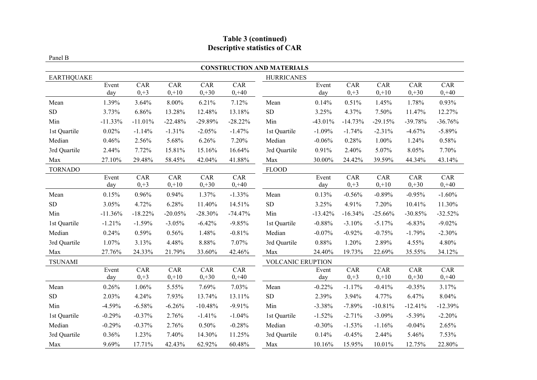# **Table 3 (continued) Descriptive statistics of CAR**

#### Panel B

|                   |           |            |            |           |           | <b>CONSTRUCTION AND MATERIALS</b> |           |           |           |           |           |
|-------------------|-----------|------------|------------|-----------|-----------|-----------------------------------|-----------|-----------|-----------|-----------|-----------|
| <b>EARTHQUAKE</b> |           |            |            |           |           | <b>HURRICANES</b>                 |           |           |           |           |           |
|                   | Event     | CAR        | CAR        | CAR       | CAR       |                                   | Event     | CAR       | CAR       | CAR       | CAR       |
|                   | day       | $0,+3$     | $0,+10$    | $0,+30$   | $0, +40$  |                                   | day       | $0, +3$   | $0,+10$   | $0,+30$   | $0, +40$  |
| Mean              | 1.39%     | 3.64%      | 8.00%      | 6.21%     | 7.12%     | Mean                              | 0.14%     | 0.51%     | 1.45%     | 1.78%     | 0.93%     |
| ${\rm SD}$        | 3.73%     | 6.86%      | 13.28%     | 12.48%    | 13.18%    | ${\rm SD}$                        | 3.25%     | 4.37%     | 7.50%     | 11.47%    | 12.27%    |
| Min               | $-11.33%$ | $-11.01%$  | $-22.48%$  | $-29.89%$ | $-28.22%$ | Min                               | $-43.01%$ | $-14.73%$ | $-29.15%$ | $-39.78%$ | $-36.76%$ |
| 1st Quartile      | 0.02%     | $-1.14%$   | $-1.31%$   | $-2.05%$  | $-1.47%$  | 1st Quartile                      | $-1.09%$  | $-1.74%$  | $-2.31%$  | $-4.67%$  | $-5.89%$  |
| Median            | 0.46%     | 2.56%      | 5.68%      | 6.26%     | 7.20%     | Median                            | $-0.06%$  | 0.28%     | 1.00%     | 1.24%     | 0.58%     |
| 3rd Quartile      | 2.44%     | 7.72%      | 15.81%     | 15.16%    | 16.64%    | 3rd Quartile                      | 0.91%     | 2.40%     | 5.07%     | 8.05%     | 7.70%     |
| Max               | 27.10%    | 29.48%     | 58.45%     | 42.04%    | $41.88\%$ | Max                               | 30.00%    | 24.42%    | 39.59%    | 44.34%    | 43.14%    |
| <b>TORNADO</b>    |           |            |            |           |           | <b>FLOOD</b>                      |           |           |           |           |           |
|                   | Event     | <b>CAR</b> | <b>CAR</b> | CAR       | CAR       |                                   | Event     | CAR       | CAR       | CAR       | CAR       |
|                   | day       | $0,+3$     | $0,+10$    | $0, +30$  | $0, +40$  |                                   | day       | $0,+3$    | $0,+10$   | $0, +30$  | $0, +40$  |
| Mean              | 0.15%     | 0.96%      | 0.94%      | 1.37%     | $-1.33%$  | Mean                              | 0.13%     | $-0.56%$  | $-0.89%$  | $-0.95%$  | $-1.60%$  |
| ${\rm SD}$        | 3.05%     | 4.72%      | 6.28%      | 11.40%    | 14.51%    | ${\rm SD}$                        | 3.25%     | 4.91%     | 7.20%     | 10.41%    | 11.30%    |
| Min               | $-11.36%$ | $-18.22%$  | $-20.05%$  | $-28.30%$ | $-74.47%$ | Min                               | $-13.42%$ | $-16.34%$ | $-25.66%$ | $-30.85%$ | $-32.52%$ |
| 1st Quartile      | $-1.21%$  | $-1.59%$   | $-3.05%$   | $-6.42%$  | $-9.85%$  | 1st Quartile                      | $-0.88%$  | $-3.10%$  | $-5.17%$  | $-6.83%$  | $-9.02%$  |
| Median            | 0.24%     | 0.59%      | 0.56%      | 1.48%     | $-0.81%$  | Median                            | $-0.07%$  | $-0.92%$  | $-0.75%$  | $-1.79%$  | $-2.30%$  |
| 3rd Quartile      | 1.07%     | 3.13%      | 4.48%      | 8.88%     | 7.07%     | 3rd Quartile                      | 0.88%     | 1.20%     | 2.89%     | 4.55%     | 4.80%     |
| Max               | 27.76%    | 24.33%     | 21.79%     | 33.60%    | 42.46%    | Max                               | 24.40%    | 19.73%    | 22.69%    | 35.55%    | 34.12%    |
| <b>TSUNAMI</b>    |           |            |            |           |           | <b>VOLCANIC ERUPTION</b>          |           |           |           |           |           |
|                   | Event     | CAR        | CAR        | CAR       | CAR       |                                   | Event     | CAR       | CAR       | CAR       | CAR       |
|                   | day       | $0, +3$    | $0,+10$    | $0,+30$   | $0, +40$  |                                   | day       | $0,+3$    | $0,+10$   | $0,+30$   | $0, +40$  |
| Mean              | 0.26%     | 1.06%      | 5.55%      | 7.69%     | 7.03%     | Mean                              | $-0.22%$  | $-1.17%$  | $-0.41%$  | $-0.35%$  | 3.17%     |
| ${\rm SD}$        | 2.03%     | 4.24%      | 7.93%      | 13.74%    | 13.11%    | ${\rm SD}$                        | 2.39%     | 3.94%     | 4.77%     | 6.47%     | 8.04%     |
| Min               | $-4.59%$  | $-6.58%$   | $-6.26%$   | $-10.48%$ | $-9.91%$  | Min                               | $-3.38%$  | $-7.89%$  | $-10.81%$ | $-12.41%$ | $-12.39%$ |
| 1st Quartile      | $-0.29%$  | $-0.37%$   | 2.76%      | $-1.41%$  | $-1.04%$  | 1st Quartile                      | $-1.52%$  | $-2.71%$  | $-3.09%$  | $-5.39\%$ | $-2.20%$  |
| Median            | $-0.29%$  | $-0.37%$   | 2.76%      | 0.50%     | $-0.28%$  | Median                            | $-0.30%$  | $-1.53%$  | $-1.16%$  | $-0.04%$  | 2.65%     |
| 3rd Quartile      | 0.36%     | 1.23%      | 7.40%      | 14.30%    | 11.25%    | 3rd Quartile                      | 0.14%     | $-0.45%$  | 2.44%     | 5.46%     | 7.53%     |
| Max               | 9.69%     | 17.71%     | 42.43%     | 62.92%    | 60.48%    | Max                               | 10.16%    | 15.95%    | 10.01%    | 12.75%    | 22.80%    |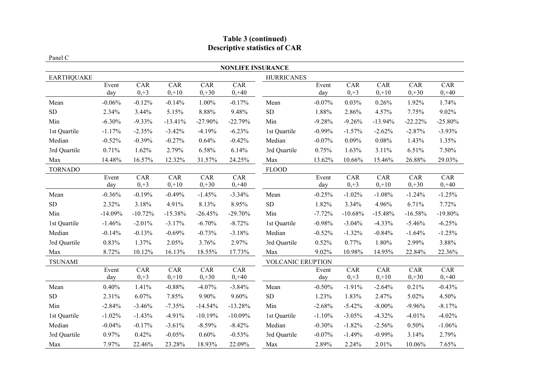# **Table 3 (continued) Descriptive statistics of CAR**

### Panel C

| <b>NONLIFE INSURANCE</b> |           |           |           |           |           |                          |          |           |            |           |            |
|--------------------------|-----------|-----------|-----------|-----------|-----------|--------------------------|----------|-----------|------------|-----------|------------|
| <b>EARTHQUAKE</b>        |           |           |           |           |           | <b>HURRICANES</b>        |          |           |            |           |            |
|                          | Event     | CAR       | CAR       | CAR       | CAR       |                          | Event    | CAR       | CAR        | CAR       | CAR        |
|                          | day       | $0,+3$    | $0,+10$   | $0,+30$   | $0, +40$  |                          | day      | $0, +3$   | $0,+10$    | $0, +30$  | $0, +40$   |
| Mean                     | $-0.06%$  | $-0.12%$  | $-0.14%$  | 1.00%     | $-0.17%$  | Mean                     | $-0.07%$ | 0.03%     | 0.26%      | 1.92%     | 1.74%      |
| ${\rm SD}$               | 2.34%     | 3.44%     | 5.15%     | 8.88%     | 9.48%     | ${\rm SD}$               | 1.88%    | 2.86%     | 4.57%      | 7.75%     | 9.02%      |
| Min                      | $-6.30%$  | $-9.33\%$ | $-13.41%$ | $-27.90%$ | $-22.79%$ | Min                      | $-9.28%$ | $-9.26%$  | $-13.94%$  | $-22.22%$ | $-25.80%$  |
| 1st Quartile             | $-1.17%$  | $-2.35%$  | $-3.42%$  | $-4.19%$  | $-6.23%$  | 1st Quartile             | $-0.99%$ | $-1.57%$  | $-2.62%$   | $-2.87%$  | $-3.93\%$  |
| Median                   | $-0.52%$  | $-0.39%$  | $-0.27%$  | 0.64%     | $-0.42%$  | Median                   | $-0.07%$ | 0.09%     | 0.08%      | 1.43%     | 1.35%      |
| 3rd Quartile             | 0.71%     | 1.62%     | 2.79%     | 6.58%     | 6.14%     | 3rd Quartile             | 0.75%    | 1.63%     | 3.11%      | 6.51%     | 7.50%      |
| Max                      | 14.48%    | 16.57%    | 12.32%    | 31.57%    | 24.25%    | Max                      | 13.62%   | 10.66%    | 15.46%     | 26.88%    | 29.03%     |
| <b>TORNADO</b>           |           |           |           |           |           | <b>FLOOD</b>             |          |           |            |           |            |
|                          | Event     | CAR       | CAR       | CAR       | CAR       |                          | Event    | CAR       | <b>CAR</b> | CAR       | <b>CAR</b> |
|                          | day       | $0, +3$   | $0,+10$   | $0,+30$   | $0, +40$  |                          | day      | $0,+3$    | $0,+10$    | $0,+30$   | $0, +40$   |
| Mean                     | $-0.36%$  | $-0.19%$  | $-0.49%$  | $-1.45%$  | $-3.34%$  | Mean                     | $-0.25%$ | $-1.02%$  | $-1.08%$   | $-1.24%$  | $-1.25%$   |
| <b>SD</b>                | 2.32%     | 3.18%     | 4.91%     | 8.13%     | 8.95%     | ${\rm SD}$               | 1.82%    | 3.34%     | 4.96%      | 6.71%     | 7.72%      |
| Min                      | $-14.09%$ | $-10.72%$ | $-15.38%$ | $-26.45%$ | $-29.70%$ | Min                      | $-7.72%$ | $-10.68%$ | $-15.48%$  | $-16.58%$ | $-19.80%$  |
| 1st Quartile             | $-1.46%$  | $-2.01%$  | $-3.17%$  | $-6.70%$  | $-8.72%$  | 1st Quartile             | $-0.98%$ | $-3.04%$  | $-4.33%$   | $-5.46%$  | $-6.25%$   |
| Median                   | $-0.14%$  | $-0.13%$  | $-0.69%$  | $-0.73%$  | $-3.18%$  | Median                   | $-0.52%$ | $-1.32%$  | $-0.84%$   | $-1.64%$  | $-1.25%$   |
| 3rd Quartile             | 0.83%     | 1.37%     | 2.05%     | 3.76%     | 2.97%     | 3rd Quartile             | 0.52%    | 0.77%     | 1.80%      | 2.99%     | 3.88%      |
| Max                      | 8.72%     | 10.12%    | 16.13%    | 18.55%    | 17.73%    | Max                      | 9.02%    | 10.98%    | 14.95%     | 22.84%    | 22.36%     |
| <b>TSUNAMI</b>           |           |           |           |           |           | <b>VOLCANIC ERUPTION</b> |          |           |            |           |            |
|                          | Event     | CAR       | CAR       | CAR       | CAR       |                          | Event    | CAR       | CAR        | CAR       | CAR        |
|                          | day       | $0, +3$   | $0,+10$   | $0,+30$   | $0, +40$  |                          | day      | $0,+3$    | $0,+10$    | $0,+30$   | $0, +40$   |
| Mean                     | 0.40%     | 1.41%     | $-0.88%$  | $-4.07%$  | $-3.84%$  | Mean                     | $-0.50%$ | $-1.91%$  | $-2.64%$   | 0.21%     | $-0.43%$   |
| ${\rm SD}$               | 2.31%     | 6.07%     | 7.85%     | 9.90%     | 9.60%     | ${\rm SD}$               | 1.23%    | 1.83%     | 2.47%      | 5.02%     | 4.50%      |
| Min                      | $-2.84%$  | $-3.46%$  | $-7.35%$  | $-14.54%$ | $-13.28%$ | Min                      | $-2.68%$ | $-5.42%$  | $-8.00\%$  | $-9.96%$  | $-8.17%$   |
| 1st Quartile             | $-1.02%$  | $-1.43%$  | $-4.91%$  | $-10.19%$ | $-10.09%$ | 1st Quartile             | $-1.10%$ | $-3.05%$  | $-4.32%$   | $-4.01%$  | $-4.02%$   |
| Median                   | $-0.04%$  | $-0.17%$  | $-3.61%$  | $-8.59%$  | $-8.42%$  | Median                   | $-0.30%$ | $-1.82%$  | $-2.56%$   | 0.50%     | $-1.06%$   |
| 3rd Quartile             | 0.97%     | 0.42%     | $-0.05%$  | 0.60%     | $-0.53%$  | 3rd Quartile             | $-0.07%$ | $-1.49%$  | $-0.99%$   | 3.14%     | 2.79%      |
| Max                      | 7.97%     | 22.46%    | 23.28%    | 18.93%    | 22.09%    | Max                      | 2.89%    | 2.24%     | 2.01%      | 10.06%    | 7.65%      |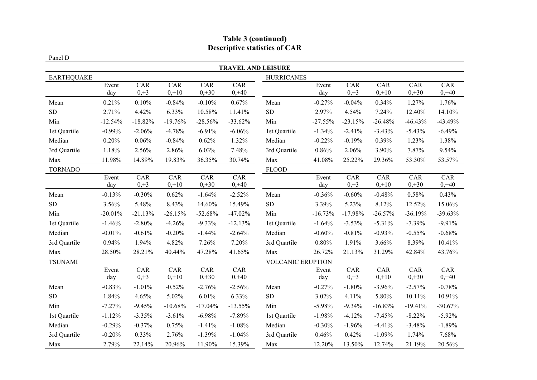# **Table 3 (continued) Descriptive statistics of CAR**

#### Panel D

| <b>TRAVEL AND LEISURE</b> |           |                  |           |           |            |                          |           |           |            |           |            |
|---------------------------|-----------|------------------|-----------|-----------|------------|--------------------------|-----------|-----------|------------|-----------|------------|
| <b>EARTHQUAKE</b>         |           |                  |           |           |            | <b>HURRICANES</b>        |           |           |            |           |            |
|                           | Event     | CAR              | CAR       | CAR       | CAR        |                          | Event     | CAR       | CAR        | CAR       | CAR        |
|                           | day       | $0,+3$           | $0,+10$   | $0,+30$   | $0, +40$   |                          | day       | $0, +3$   | $0,+10$    | $0,+30$   | $0, +40$   |
| Mean                      | 0.21%     | 0.10%            | $-0.84%$  | $-0.10%$  | 0.67%      | Mean                     | $-0.27%$  | $-0.04%$  | 0.34%      | 1.27%     | 1.76%      |
| ${\rm SD}$                | 2.71%     | 4.42%            | 6.33%     | 10.58%    | 11.41%     | ${\rm SD}$               | 2.97%     | 4.54%     | 7.24%      | 12.40%    | 14.10%     |
| Min                       | $-12.54%$ | $-18.82%$        | $-19.76%$ | $-28.56%$ | $-33.62%$  | Min                      | $-27.55%$ | $-23.15%$ | $-26.48%$  | $-46.43%$ | -43.49%    |
| 1st Quartile              | $-0.99%$  | $-2.06%$         | $-4.78%$  | $-6.91%$  | $-6.06%$   | 1st Quartile             | $-1.34%$  | $-2.41%$  | $-3.43%$   | $-5.43%$  | $-6.49%$   |
| Median                    | 0.20%     | 0.06%            | $-0.84%$  | 0.62%     | 1.32%      | Median                   | $-0.22%$  | $-0.19%$  | 0.39%      | 1.23%     | 1.38%      |
| 3rd Quartile              | 1.18%     | 2.56%            | 2.86%     | 6.03%     | 7.48%      | 3rd Quartile             | 0.86%     | 2.06%     | 3.90%      | 7.87%     | 9.54%      |
| Max                       | 11.98%    | 14.89%           | 19.83%    | 36.35%    | 30.74%     | Max                      | 41.08%    | 25.22%    | 29.36%     | 53.30%    | 53.57%     |
| <b>TORNADO</b>            |           |                  |           |           |            | <b>FLOOD</b>             |           |           |            |           |            |
|                           | Event     | CAR              | CAR       | CAR       | CAR        |                          | Event     | CAR       | <b>CAR</b> | CAR       | <b>CAR</b> |
|                           | day       | $0,+3$           | $0,+10$   | $0,+30$   | $0, +40$   |                          | day       | $0,+3$    | $0,+10$    | $0,+30$   | $0, +40$   |
| Mean                      | $-0.13%$  | $-0.30%$         | 0.62%     | $-1.64%$  | $-2.52%$   | Mean                     | $-0.36%$  | $-0.60%$  | $-0.48%$   | 0.58%     | 0.43%      |
| <b>SD</b>                 | 3.56%     | 5.48%            | 8.43%     | 14.60%    | 15.49%     | ${\rm SD}$               | 3.39%     | 5.23%     | 8.12%      | 12.52%    | 15.06%     |
| Min                       | $-20.01%$ | $-21.13%$        | $-26.15%$ | $-52.68%$ | $-47.02%$  | Min                      | $-16.73%$ | $-17.98%$ | $-26.57%$  | $-36.19%$ | $-39.63%$  |
| 1st Quartile              | $-1.46%$  | $-2.80%$         | $-4.26%$  | $-9.33\%$ | $-12.13%$  | 1st Quartile             | $-1.64%$  | $-3.53%$  | $-5.31%$   | $-7.39%$  | $-9.91%$   |
| Median                    | $-0.01%$  | $-0.61%$         | $-0.20%$  | $-1.44%$  | $-2.64%$   | Median                   | $-0.60%$  | $-0.81%$  | $-0.93%$   | $-0.55%$  | $-0.68%$   |
| 3rd Quartile              | 0.94%     | 1.94%            | 4.82%     | 7.26%     | 7.20%      | 3rd Quartile             | 0.80%     | 1.91%     | 3.66%      | 8.39%     | 10.41%     |
| Max                       | 28.50%    | 28.21%           | 40.44%    | 47.28%    | 41.65%     | Max                      | 26.72%    | 21.13%    | 31.29%     | 42.84%    | 43.76%     |
| <b>TSUNAMI</b>            |           |                  |           |           |            | <b>VOLCANIC ERUPTION</b> |           |           |            |           |            |
|                           | Event     | $\overline{CAR}$ | CAR       | CAR       | CAR        |                          | Event     | CAR       | CAR        | CAR       | CAR        |
|                           | day       | $0, +3$          | $0,+10$   | $0,+30$   | $0, +40$   |                          | day       | $0,+3$    | $0,+10$    | $0,+30$   | $0, +40$   |
| Mean                      | $-0.83%$  | $-1.01%$         | $-0.52%$  | $-2.76%$  | $-2.56%$   | Mean                     | $-0.27%$  | $-1.80%$  | $-3.96%$   | $-2.57%$  | $-0.78%$   |
| ${\rm SD}$                | 1.84%     | 4.65%            | 5.02%     | 6.01%     | 6.33%      | ${\rm SD}$               | 3.02%     | 4.11%     | 5.80%      | 10.11%    | 10.91%     |
| Min                       | $-7.27%$  | $-9.45%$         | $-10.68%$ | $-17.04%$ | $-13.55\%$ | Min                      | $-5.98%$  | $-9.34%$  | $-16.83%$  | $-19.41%$ | $-30.67%$  |
| 1st Quartile              | $-1.12%$  | $-3.35%$         | $-3.61%$  | $-6.98%$  | $-7.89%$   | 1st Quartile             | $-1.98%$  | $-4.12%$  | $-7.45%$   | $-8.22%$  | $-5.92\%$  |
| Median                    | $-0.29%$  | $-0.37%$         | 0.75%     | $-1.41%$  | $-1.08%$   | Median                   | $-0.30%$  | $-1.96%$  | $-4.41%$   | $-3.48%$  | $-1.89%$   |
| 3rd Quartile              | $-0.20%$  | 0.33%            | 2.76%     | $-1.39%$  | $-1.04%$   | 3rd Quartile             | 0.46%     | 0.42%     | $-1.09%$   | 1.74%     | 7.68%      |
| Max                       | 2.79%     | 22.14%           | 20.96%    | 11.90%    | 15.39%     | Max                      | 12.20%    | 13.50%    | 12.74%     | 21.19%    | 20.56%     |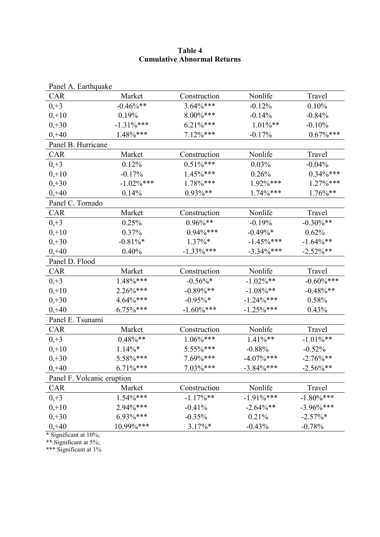### **Table 4 Cumulative Abnormal Returns**

| Panel A. Earthquake        |               |               |               |               |
|----------------------------|---------------|---------------|---------------|---------------|
| CAR                        | Market        | Construction  | Nonlife       | Travel        |
| $0, +3$                    | $-0.46\%$ **  | $3.64\%***$   | $-0.12%$      | 0.10%         |
| $0,+10$                    | 0.19%         | $8.00\%***$   | $-0.14%$      | $-0.84%$      |
| $0,+30$                    | $-1.31\%***$  | $6.21\%***$   | $1.01\%$ **   | $-0.10%$      |
| $0, +40$                   | $1.48\%***$   | $7.12\%***$   | $-0.17%$      | $0.67\%$ ***  |
| Panel B. Hurricane         |               |               |               |               |
| CAR                        | Market        | Construction  | Nonlife       | Travel        |
| $0, +3$                    | 0.12%         | $0.51\%***$   | 0.03%         | $-0.04%$      |
| $0,+10$                    | $-0.17%$      | 1.45%***      | 0.26%         | $0.34\%***$   |
| $0,+30$                    | $-1.02\%$ *** | 1.78%***      | 1.92%***      | 1.27%***      |
| $0, +40$                   | 0.14%         | $0.93\%**$    | 1.74%***      | $1.76\%$ **   |
| Panel C. Tornado           |               |               |               |               |
| CAR                        | Market        | Construction  | Nonlife       | Travel        |
| $0, +3$                    | 0.25%         | $0.96\%$ **   | $-0.19%$      | $-0.30\%**$   |
| $0,+10$                    | 0.37%         | $0.94\%***$   | $-0.49\%*$    | 0.62%         |
| $0,+30$                    | $-0.81\%$ *   | $1.37\%*$     | $-1.45\%$ *** | $-1.64\%$ **  |
| $0, +40$                   | 0.40%         | $-1.33\%$ *** | $-3.34\%***$  | $-2.52\%**$   |
| Panel D. Flood             |               |               |               |               |
| CAR                        | Market        | Construction  | Nonlife       | Travel        |
| $0, +3$                    | $1.48\%***$   | $-0.56\%$ *   | $-1.02\%$ **  | $-0.60\%***$  |
| $0,+10$                    | $2.26\%***$   | $-0.89%$ **   | $-1.08\%$ **  | $-0.48\%$ **  |
| $0,+30$                    | 4.64%***      | $-0.95\%$ *   | $-1.24\%***$  | 0.58%         |
| $0, +40$                   | 6.75%***      | $-1.60\%$ *** | $-1.25\%$ *** | 0.43%         |
| Panel E. Tsunami           |               |               |               |               |
| CAR                        | Market        | Construction  | Nonlife       | Travel        |
| $0, +3$                    | $0.48\%$ **   | $1.06\%***$   | $1.41\%**$    | $-1.01\%**$   |
| $0,+10$                    | $1.14\%*$     | 5.55%***      | $-0.88%$      | $-0.52%$      |
| $0,+30$                    | 5.58%***      | 7.69%***      | $-4.07\%***$  | $-2.76\%**$   |
| $0, +40$                   | $6.71\%***$   | 7.03%***      | $-3.84\%***$  | $-2.56\%$ **  |
| Panel F. Volcanic eruption |               |               |               |               |
| CAR                        | Market        | Construction  | Nonlife       | Travel        |
| $0,+3$                     | $1.54\%***$   | $-1.17\%$ **  | $-1.91\%***$  | $-1.80\%$ *** |
| $0,+10$                    | 2.94%***      | $-0.41%$      | $-2.64\%$ **  | $-3.96\%***$  |
| $0,+30$                    | $6.93\%***$   | $-0.35%$      | 0.21%         | $-2.57\%$ *   |
| $0, +40$                   | 10.99%***     | $3.17\%*$     | $-0.43%$      | $-0.78%$      |

\* Significant at 10%;

\*\* Significant at 5%;

\*\*\* Significant at 1%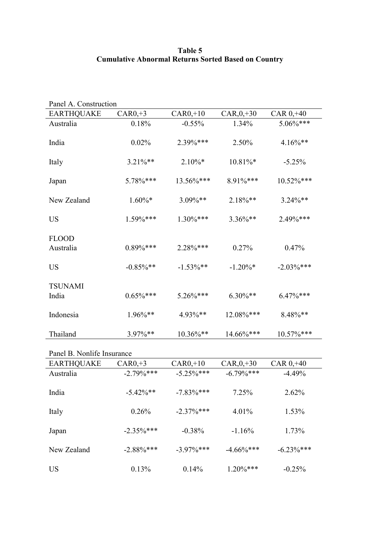## **Table 5 Cumulative Abnormal Returns Sorted Based on Country**

| Panel A. Construction      |              |               |                  |                |  |  |  |
|----------------------------|--------------|---------------|------------------|----------------|--|--|--|
| <b>EARTHQUAKE</b>          | $CAR0, +3$   | $CAR0, +10$   | $CAR$ , $0, +30$ | $CAR$ $0, +40$ |  |  |  |
| Australia                  | 0.18%        | $-0.55%$      | 1.34%            | 5.06%***       |  |  |  |
| India                      | 0.02%        | 2.39%***      | 2.50%            | $4.16\%**$     |  |  |  |
| Italy                      | $3.21\%$ **  | $2.10\%*$     | $10.81\%$ *      | $-5.25%$       |  |  |  |
| Japan                      | 5.78%***     | $13.56\%$ *** | 8.91%***         | 10.52%***      |  |  |  |
| New Zealand                | $1.60\%$ *   | $3.09\%**$    | $2.18\%**$       | $3.24\%$ **    |  |  |  |
| <b>US</b>                  | 1.59%***     | $1.30\%***$   | 3.36%**          | 2.49%***       |  |  |  |
| <b>FLOOD</b><br>Australia  | $0.89\%***$  | $2.28\%***$   | 0.27%            | 0.47%          |  |  |  |
| <b>US</b>                  | $-0.85\%$ ** | $-1.53\%$ **  | $-1.20\%*$       | $-2.03\%$ ***  |  |  |  |
| <b>TSUNAMI</b><br>India    | $0.65\%$ *** | $5.26\%***$   | $6.30\%$ **      | $6.47\%***$    |  |  |  |
| Indonesia                  | 1.96%**      | 4.93%**       | 12.08%***        | 8.48%**        |  |  |  |
| Thailand                   | 3.97%**      | 10.36%**      | 14.66%***        | 10.57%***      |  |  |  |
| Panel B. Nonlife Insurance |              |               |                  |                |  |  |  |

| <b>EARTHQUAKE</b> | $CAR0, +3$    | $CAR0, +10$   | $CAR_{0, +30}$ | $CAR$ $0, +40$ |
|-------------------|---------------|---------------|----------------|----------------|
| Australia         | $-2.79\%***$  | $-5.25\%$ *** | $-6.79\%$ ***  | $-4.49%$       |
| India             | $-5.42\%$ **  | $-7.83\%$ *** | 7.25%          | 2.62%          |
| Italy             | 0.26%         | $-2.37\%$ *** | 4.01%          | 1.53%          |
| Japan             | $-2.35\%$ *** | $-0.38%$      | $-1.16%$       | 1.73%          |
| New Zealand       | $-2.88\%$ *** | $-3.97\%$ *** | $-4.66\%$ ***  | $-6.23\%$ ***  |
| US                | 0.13%         | 0.14%         | $1.20\%***$    | $-0.25%$       |